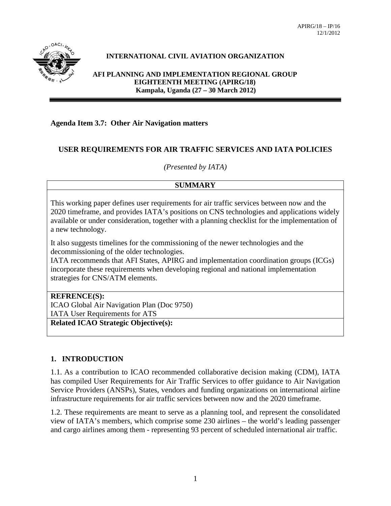

## **INTERNATIONAL CIVIL AVIATION ORGANIZATION**

**AFI PLANNING AND IMPLEMENTATION REGIONAL GROUP EIGHTEENTH MEETING (APIRG/18) Kampala, Uganda (27 – 30 March 2012)**

#### **Agenda Item 3.7: Other Air Navigation matters**

### **USER REQUIREMENTS FOR AIR TRAFFIC SERVICES AND IATA POLICIES**

*(Presented by IATA)*

#### **SUMMARY**

This working paper defines user requirements for air traffic services between now and the 2020 timeframe, and provides IATA's positions on CNS technologies and applications widely available or under consideration, together with a planning checklist for the implementation of a new technology.

It also suggests timelines for the commissioning of the newer technologies and the decommissioning of the older technologies.

IATA recommends that AFI States, APIRG and implementation coordination groups (ICGs) incorporate these requirements when developing regional and national implementation strategies for CNS/ATM elements.

#### **REFRENCE(S):**

ICAO Global Air Navigation Plan (Doc 9750) IATA User Requirements for ATS

**Related ICAO Strategic Objective(s):**

## **1. INTRODUCTION**

1.1. As a contribution to ICAO recommended collaborative decision making (CDM), IATA has compiled User Requirements for Air Traffic Services to offer guidance to Air Navigation Service Providers (ANSPs), States, vendors and funding organizations on international airline infrastructure requirements for air traffic services between now and the 2020 timeframe.

1.2. These requirements are meant to serve as a planning tool, and represent the consolidated view of IATA's members, which comprise some 230 airlines – the world's leading passenger and cargo airlines among them - representing 93 percent of scheduled international air traffic.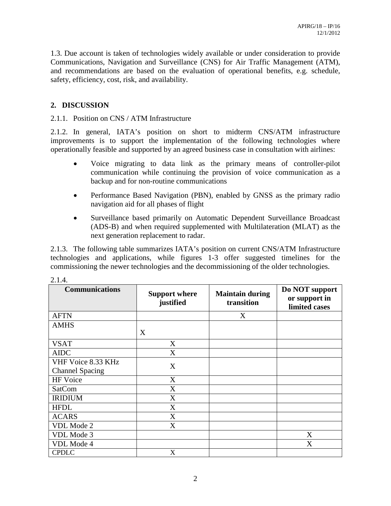1.3. Due account is taken of technologies widely available or under consideration to provide Communications, Navigation and Surveillance (CNS) for Air Traffic Management (ATM), and recommendations are based on the evaluation of operational benefits, e.g. schedule, safety, efficiency, cost, risk, and availability.

## **2. DISCUSSION**

#### 2.1.1. Position on CNS / ATM Infrastructure

2.1.2. In general, IATA's position on short to midterm CNS/ATM infrastructure improvements is to support the implementation of the following technologies where operationally feasible and supported by an agreed business case in consultation with airlines:

- Voice migrating to data link as the primary means of controller-pilot communication while continuing the provision of voice communication as a backup and for non-routine communications
- Performance Based Navigation (PBN), enabled by GNSS as the primary radio navigation aid for all phases of flight
- Surveillance based primarily on Automatic Dependent Surveillance Broadcast (ADS-B) and when required supplemented with Multilateration (MLAT) as the next generation replacement to radar.

2.1.3. The following table summarizes IATA's position on current CNS/ATM Infrastructure technologies and applications, while figures 1-3 offer suggested timelines for the commissioning the newer technologies and the decommissioning of the older technologies.

| 2. <del>.</del> .      |                                   |                                      |                                                  |
|------------------------|-----------------------------------|--------------------------------------|--------------------------------------------------|
| <b>Communications</b>  | <b>Support where</b><br>justified | <b>Maintain during</b><br>transition | Do NOT support<br>or support in<br>limited cases |
| <b>AFTN</b>            |                                   | X                                    |                                                  |
| <b>AMHS</b>            |                                   |                                      |                                                  |
|                        | X                                 |                                      |                                                  |
| <b>VSAT</b>            | X                                 |                                      |                                                  |
| <b>AIDC</b>            | X                                 |                                      |                                                  |
| VHF Voice 8.33 KHz     | X                                 |                                      |                                                  |
| <b>Channel Spacing</b> |                                   |                                      |                                                  |
| HF Voice               | X                                 |                                      |                                                  |
| <b>SatCom</b>          | X                                 |                                      |                                                  |
| <b>IRIDIUM</b>         | X                                 |                                      |                                                  |
| <b>HFDL</b>            | X                                 |                                      |                                                  |
| <b>ACARS</b>           | X                                 |                                      |                                                  |
| VDL Mode 2             | X                                 |                                      |                                                  |
| VDL Mode 3             |                                   |                                      | X                                                |
| VDL Mode 4             |                                   |                                      | X                                                |
| <b>CPDLC</b>           | X                                 |                                      |                                                  |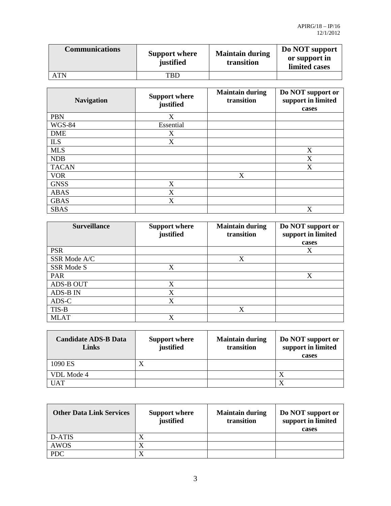| <b>Communications</b> | <b>Support where</b><br>justified | <b>Maintain during</b><br>transition | Do NOT support<br>or support in<br>limited cases |
|-----------------------|-----------------------------------|--------------------------------------|--------------------------------------------------|
| ATN                   | TBD                               |                                      |                                                  |

| <b>Navigation</b> | <b>Support where</b><br>justified | <b>Maintain during</b><br>transition | Do NOT support or<br>support in limited<br>cases |
|-------------------|-----------------------------------|--------------------------------------|--------------------------------------------------|
| <b>PBN</b>        | X                                 |                                      |                                                  |
| <b>WGS-84</b>     | Essential                         |                                      |                                                  |
| <b>DME</b>        | X                                 |                                      |                                                  |
| <b>ILS</b>        | X                                 |                                      |                                                  |
| <b>MLS</b>        |                                   |                                      | X                                                |
| <b>NDB</b>        |                                   |                                      | X                                                |
| <b>TACAN</b>      |                                   |                                      | X                                                |
| <b>VOR</b>        |                                   | X                                    |                                                  |
| <b>GNSS</b>       | X                                 |                                      |                                                  |
| <b>ABAS</b>       | X                                 |                                      |                                                  |
| <b>GBAS</b>       | X                                 |                                      |                                                  |
| <b>SBAS</b>       |                                   |                                      | X                                                |

| <b>Surveillance</b> | <b>Support where</b><br>justified | <b>Maintain during</b><br>transition | Do NOT support or<br>support in limited |
|---------------------|-----------------------------------|--------------------------------------|-----------------------------------------|
|                     |                                   |                                      | cases                                   |
| <b>PSR</b>          |                                   |                                      | X                                       |
| SSR Mode A/C        |                                   | X                                    |                                         |
| SSR Mode S          | X                                 |                                      |                                         |
| PAR                 |                                   |                                      | X                                       |
| ADS-B OUT           | X                                 |                                      |                                         |
| <b>ADS-B IN</b>     | X                                 |                                      |                                         |
| ADS-C               | X                                 |                                      |                                         |
| TIS-B               |                                   | X                                    |                                         |
| <b>MLAT</b>         |                                   |                                      |                                         |

| <b>Candidate ADS-B Data</b><br>Links | <b>Support where</b><br>justified | <b>Maintain during</b><br>transition | Do NOT support or<br>support in limited<br>cases |
|--------------------------------------|-----------------------------------|--------------------------------------|--------------------------------------------------|
| 1090 ES                              | $\Lambda$                         |                                      |                                                  |
| VDL Mode 4                           |                                   |                                      |                                                  |
| <b>UAT</b>                           |                                   |                                      |                                                  |

| <b>Other Data Link Services</b> | <b>Support where</b><br>justified | <b>Maintain during</b><br>transition | Do NOT support or<br>support in limited<br>cases |
|---------------------------------|-----------------------------------|--------------------------------------|--------------------------------------------------|
| D-ATIS                          |                                   |                                      |                                                  |
| <b>AWOS</b>                     |                                   |                                      |                                                  |
| <b>PDC</b>                      |                                   |                                      |                                                  |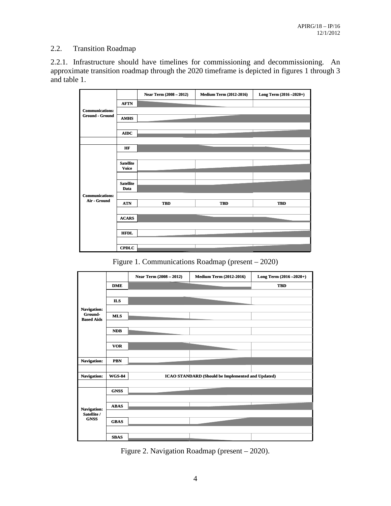## 2.2. Transition Roadmap

2.2.1. Infrastructure should have timelines for commissioning and decommissioning. An approximate transition roadmap through the 2020 timeframe is depicted in figures 1 through 3 and table 1.

|                        |                                  | Near Term (2008 - 2012) | <b>Medium Term (2012-2016)</b> | Long Term (2016 - 2020+) |
|------------------------|----------------------------------|-------------------------|--------------------------------|--------------------------|
|                        | <b>AFTN</b>                      |                         |                                |                          |
| <b>Communications:</b> |                                  |                         |                                |                          |
| <b>Ground - Ground</b> | <b>AMHS</b>                      |                         |                                |                          |
|                        |                                  |                         |                                |                          |
|                        | <b>AIDC</b>                      |                         |                                |                          |
|                        |                                  |                         |                                |                          |
|                        | HF                               |                         |                                |                          |
|                        |                                  |                         |                                |                          |
|                        | <b>Satellite</b><br><b>Voice</b> |                         |                                |                          |
|                        |                                  |                         |                                |                          |
|                        |                                  |                         |                                |                          |
|                        | <b>Satellite</b><br>Data         |                         |                                |                          |
| <b>Communications:</b> |                                  |                         |                                |                          |
| Air - Ground           | <b>ATN</b>                       | <b>TBD</b>              | <b>TBD</b>                     | <b>TBD</b>               |
|                        |                                  |                         |                                |                          |
|                        | <b>ACARS</b>                     |                         |                                |                          |
|                        |                                  |                         |                                |                          |
|                        | <b>HFDL</b>                      |                         |                                |                          |
|                        |                                  |                         |                                |                          |
|                        | <b>CPDLC</b>                     |                         |                                |                          |

Figure 1. Communications Roadmap (present – 2020)

|                                           |               | Near Term (2008 - 2012) | <b>Medium Term (2012-2016)</b>                           | Long Term (2016 - 2020+) |
|-------------------------------------------|---------------|-------------------------|----------------------------------------------------------|--------------------------|
|                                           | <b>DME</b>    |                         |                                                          | <b>TBD</b>               |
|                                           |               |                         |                                                          |                          |
|                                           | <b>ILS</b>    |                         |                                                          |                          |
| Navigation:                               |               |                         |                                                          |                          |
| Ground-<br><b>Based Aids</b>              | <b>MLS</b>    |                         |                                                          |                          |
|                                           |               |                         |                                                          |                          |
|                                           | <b>NDB</b>    |                         |                                                          |                          |
|                                           |               |                         |                                                          |                          |
|                                           | <b>VOR</b>    |                         |                                                          |                          |
|                                           |               |                         |                                                          |                          |
| Navigation:                               | <b>PBN</b>    |                         |                                                          |                          |
|                                           |               |                         |                                                          |                          |
| Navigation:                               | <b>WGS 84</b> |                         | <b>ICAO STANDARD (Should be Implemented and Updated)</b> |                          |
|                                           |               |                         |                                                          |                          |
|                                           | <b>GNSS</b>   |                         |                                                          |                          |
|                                           |               |                         |                                                          |                          |
| Navigation:<br>Satellite /<br><b>GNSS</b> | <b>ABAS</b>   |                         |                                                          |                          |
|                                           |               |                         |                                                          |                          |
|                                           | <b>GBAS</b>   |                         |                                                          |                          |
|                                           |               |                         |                                                          |                          |
|                                           | <b>SBAS</b>   |                         |                                                          |                          |

Figure 2. Navigation Roadmap (present – 2020).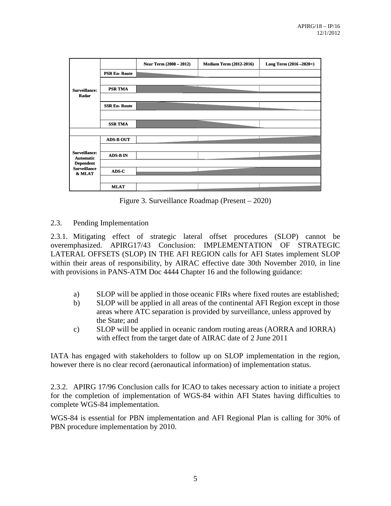|                                                   |                     | Near Term (2008 - 2012) | <b>Medium Term (2012-2016)</b> | Long Term $(2016 - 2020+)$ |
|---------------------------------------------------|---------------------|-------------------------|--------------------------------|----------------------------|
|                                                   | <b>PSR En-Route</b> |                         |                                |                            |
|                                                   |                     |                         |                                |                            |
| <b>Surveillance:</b>                              | <b>PSR TMA</b>      |                         |                                |                            |
| Radar                                             |                     |                         |                                |                            |
|                                                   | <b>SSR En-Route</b> |                         |                                |                            |
|                                                   |                     |                         |                                |                            |
|                                                   | <b>SSR TMA</b>      |                         |                                |                            |
|                                                   |                     |                         |                                |                            |
|                                                   | <b>ADS-B OUT</b>    |                         |                                |                            |
|                                                   |                     |                         |                                |                            |
| <b>Surveillance:</b><br><b>Automatic</b>          | <b>ADS-B IN</b>     |                         |                                |                            |
| <b>Dependent</b><br><b>Surveillance</b><br>& MLAT |                     |                         |                                |                            |
|                                                   | ADS-C               |                         |                                |                            |
|                                                   |                     |                         |                                |                            |
|                                                   | <b>MLAT</b>         |                         |                                |                            |

Figure 3. Surveillance Roadmap (Present – 2020)

### 2.3. Pending Implementation

2.3.1. Mitigating effect of strategic lateral offset procedures (SLOP) cannot be overemphasized. APIRG17/43 Conclusion: IMPLEMENTATION OF STRATEGIC LATERAL OFFSETS (SLOP) IN THE AFI REGION calls for AFI States implement SLOP within their areas of responsibility, by AIRAC effective date 30th November 2010, in line with provisions in PANS-ATM Doc 4444 Chapter 16 and the following guidance:

- a) SLOP will be applied in those oceanic FIRs where fixed routes are established;
- b) SLOP will be applied in all areas of the continental AFI Region except in those areas where ATC separation is provided by surveillance, unless approved by the State; and
- c) SLOP will be applied in oceanic random routing areas (AORRA and IORRA) with effect from the target date of AIRAC date of 2 June 2011

IATA has engaged with stakeholders to follow up on SLOP implementation in the region, however there is no clear record (aeronautical information) of implementation status.

2.3.2. APIRG 17/96 Conclusion calls for ICAO to takes necessary action to initiate a project for the completion of implementation of WGS-84 within AFI States having difficulties to complete WGS-84 implementation.

WGS-84 is essential for PBN implementation and AFI Regional Plan is calling for 30% of PBN procedure implementation by 2010.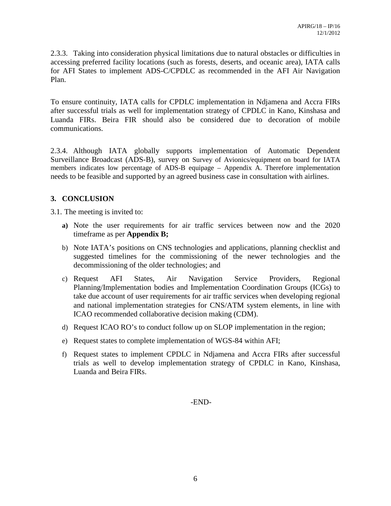2.3.3. Taking into consideration physical limitations due to natural obstacles or difficulties in accessing preferred facility locations (such as forests, deserts, and oceanic area), IATA calls for AFI States to implement ADS-C/CPDLC as recommended in the AFI Air Navigation Plan.

To ensure continuity, IATA calls for CPDLC implementation in Ndjamena and Accra FIRs after successful trials as well for implementation strategy of CPDLC in Kano, Kinshasa and Luanda FIRs. Beira FIR should also be considered due to decoration of mobile communications.

2.3.4. Although IATA globally supports implementation of Automatic Dependent Surveillance Broadcast (ADS-B), survey on Survey of Avionics/equipment on board for IATA members indicates low percentage of ADS-B equipage – Appendix A. Therefore implementation needs to be feasible and supported by an agreed business case in consultation with airlines.

## **3. CONCLUSION**

3.1. The meeting is invited to:

- **a)** Note the user requirements for air traffic services between now and the 2020 timeframe as per **Appendix B;**
- b) Note IATA's positions on CNS technologies and applications, planning checklist and suggested timelines for the commissioning of the newer technologies and the decommissioning of the older technologies; and
- c) Request AFI States, Air Navigation Service Providers, Regional Planning/Implementation bodies and Implementation Coordination Groups (ICGs) to take due account of user requirements for air traffic services when developing regional and national implementation strategies for CNS/ATM system elements, in line with ICAO recommended collaborative decision making (CDM).
- d) Request ICAO RO's to conduct follow up on SLOP implementation in the region;
- e) Request states to complete implementation of WGS-84 within AFI;
- f) Request states to implement CPDLC in Ndjamena and Accra FIRs after successful trials as well to develop implementation strategy of CPDLC in Kano, Kinshasa, Luanda and Beira FIRs.

-END-